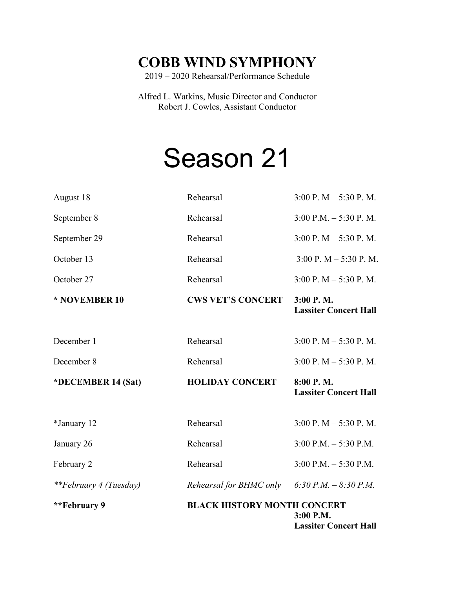## **COBB WIND SYMPHONY**

2019 – 2020 Rehearsal/Performance Schedule

Alfred L. Watkins, Music Director and Conductor Robert J. Cowles, Assistant Conductor

## Season 21

| **February 9                  | <b>BLACK HISTORY MONTH CONCERT</b> | 3:00 P.M.<br><b>Lassiter Concert Hall</b>    |
|-------------------------------|------------------------------------|----------------------------------------------|
| <i>**February 4 (Tuesday)</i> | Rehearsal for BHMC only            | 6:30 P.M. $-8:30$ P.M.                       |
| February 2                    | Rehearsal                          | $3:00$ P.M. $-5:30$ P.M.                     |
| January 26                    | Rehearsal                          | $3:00$ P.M. $-5:30$ P.M.                     |
| *January 12                   | Rehearsal                          | $3:00 \text{ P}$ . M $- 5:30 \text{ P}$ . M. |
| *DECEMBER 14 (Sat)            | <b>HOLIDAY CONCERT</b>             | 8:00 P.M.<br><b>Lassiter Concert Hall</b>    |
| December 8                    | Rehearsal                          | $3:00$ P. M $- 5:30$ P. M.                   |
| December 1                    | Rehearsal                          | $3:00$ P. M $- 5:30$ P. M.                   |
| * NOVEMBER 10                 | <b>CWS VET'S CONCERT</b>           | 3:00 P.M.<br><b>Lassiter Concert Hall</b>    |
| October 27                    | Rehearsal                          | $3:00$ P. M $-5:30$ P. M.                    |
| October 13                    | Rehearsal                          | $3:00$ P. M $- 5:30$ P. M.                   |
| September 29                  | Rehearsal                          | $3:00 \text{ P}$ . M $- 5:30 \text{ P}$ . M. |
| September 8                   | Rehearsal                          | $3:00$ P.M. $-5:30$ P.M.                     |
| August 18                     | Rehearsal                          | $3:00 \text{ P}$ . M $- 5:30 \text{ P}$ . M. |